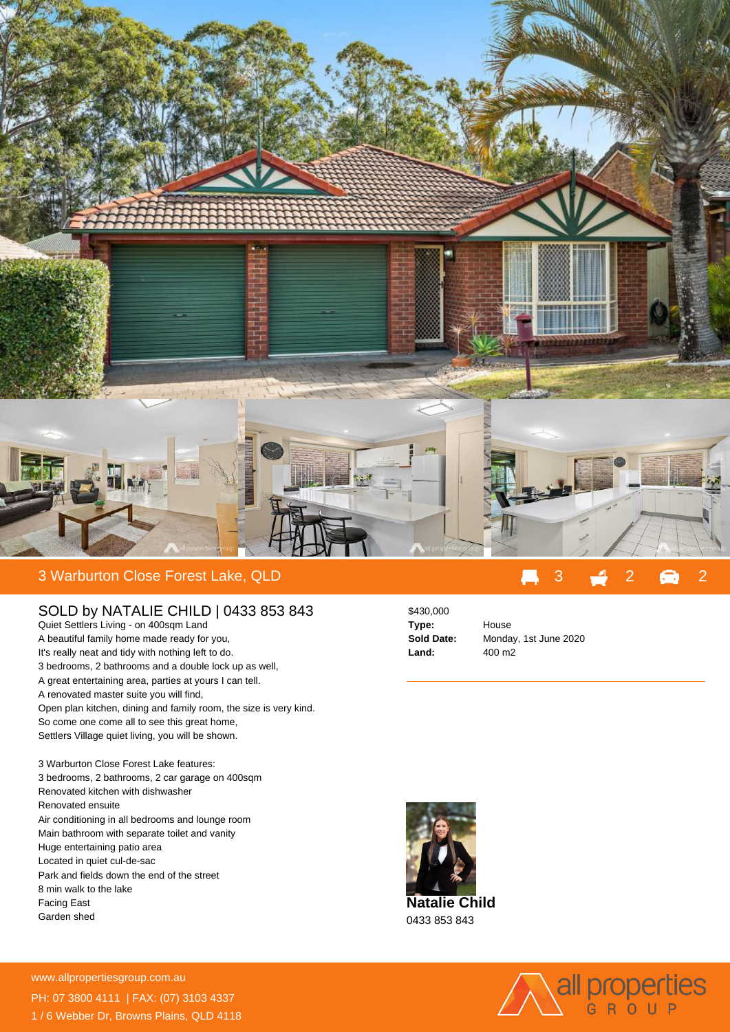

## 3 Warburton Close Forest Lake, QLD 3 2 2

## SOLD by NATALIE CHILD | 0433 853 843

Quiet Settlers Living - on 400sqm Land A beautiful family home made ready for you, It's really neat and tidy with nothing left to do. 3 bedrooms, 2 bathrooms and a double lock up as well, A great entertaining area, parties at yours I can tell. A renovated master suite you will find, Open plan kitchen, dining and family room, the size is very kind. So come one come all to see this great home, Settlers Village quiet living, you will be shown.

3 Warburton Close Forest Lake features: 3 bedrooms, 2 bathrooms, 2 car garage on 400sqm Renovated kitchen with dishwasher Renovated ensuite Air conditioning in all bedrooms and lounge room Main bathroom with separate toilet and vanity Huge entertaining patio area Located in quiet cul-de-sac Park and fields down the end of the street 8 min walk to the lake Facing East Garden shed

## \$430,000 **Type:** House

**Sold Date:** Monday, 1st June 2020 **Land:** 400 m2



**Natalie Child** 0433 853 843



**For more details please visit** www.allpropertiesgroup.com.au/<br>Sales III and Sales II and Sales II and Sales II and Sales II and Sales II and Sales II and Sales II and Sales PH: 07 3800 4111 | FAX: (07) 3103 4337 1 / 6 Webber Dr, Browns Plains, QLD 4118